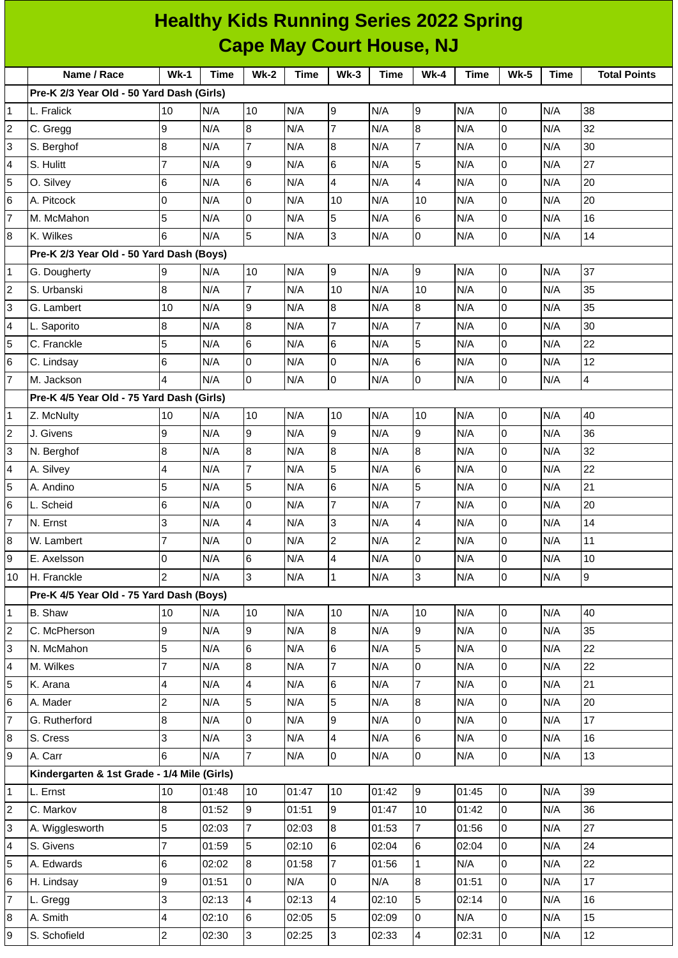|                         | <b>Healthy Kids Running Series 2022 Spring</b><br><b>Cape May Court House, NJ</b> |                |             |                         |             |                |             |                  |             |             |             |                     |
|-------------------------|-----------------------------------------------------------------------------------|----------------|-------------|-------------------------|-------------|----------------|-------------|------------------|-------------|-------------|-------------|---------------------|
|                         |                                                                                   |                |             |                         |             |                |             |                  |             |             |             |                     |
|                         | Name / Race                                                                       | $Wk-1$         | <b>Time</b> | <b>Wk-2</b>             | <b>Time</b> | $Wk-3$         | <b>Time</b> | <b>Wk-4</b>      | <b>Time</b> | <b>Wk-5</b> | <b>Time</b> | <b>Total Points</b> |
|                         | Pre-K 2/3 Year Old - 50 Yard Dash (Girls)                                         |                |             |                         |             |                |             |                  |             |             |             |                     |
| 1                       | L. Fralick                                                                        | 10             | N/A         | 10                      | N/A         | 9              | N/A         | 9                | N/A         | 0           | N/A         | 38                  |
| 2                       | C. Gregg                                                                          | 9              | N/A         | 8                       | N/A         | $\overline{7}$ | N/A         | $\boldsymbol{8}$ | N/A         | 0           | N/A         | 32                  |
| 3                       | S. Berghof                                                                        | 8              | N/A         | $\overline{7}$          | N/A         | 8              | N/A         | $\overline{7}$   | N/A         | 0           | N/A         | 30                  |
| 4                       | S. Hulitt                                                                         | 7              | N/A         | 9                       | N/A         | 6              | N/A         | 5                | N/A         | 0           | N/A         | 27                  |
| 5                       | O. Silvey                                                                         | 6              | N/A         | 6                       | N/A         | $\overline{4}$ | N/A         | 4                | N/A         | 0           | N/A         | 20                  |
| 6                       | A. Pitcock                                                                        | 0              | N/A         | $\Omega$                | N/A         | 10             | N/A         | 10               | N/A         | 0           | N/A         | 20                  |
| $\overline{7}$          | M. McMahon                                                                        | 5              | N/A         | $\overline{0}$          | N/A         | 5              | N/A         | 6                | N/A         | 0           | N/A         | 16                  |
| 8                       | K. Wilkes                                                                         | 6              | N/A         | 5                       | N/A         | 3              | N/A         | $\overline{0}$   | N/A         | 0           | N/A         | 14                  |
|                         | Pre-K 2/3 Year Old - 50 Yard Dash (Boys)                                          |                |             |                         |             |                |             |                  |             |             |             |                     |
| 1                       | G. Dougherty                                                                      | 9              | N/A         | 10                      | N/A         | 9              | N/A         | $\boldsymbol{9}$ | N/A         | 0           | N/A         | 37                  |
| 2                       | S. Urbanski                                                                       | 8              | N/A         | $\overline{7}$          | N/A         | 10             | N/A         | 10               | N/A         | 0           | N/A         | 35                  |
| 3                       | G. Lambert                                                                        | 10             | N/A         | 9                       | N/A         | 8              | N/A         | $\boldsymbol{8}$ | N/A         | 0           | N/A         | 35                  |
| 4                       | L. Saporito                                                                       | 8              | N/A         | 8                       | N/A         | $\overline{7}$ | N/A         | $\overline{7}$   | N/A         | 0           | N/A         | 30                  |
| 5                       | C. Franckle                                                                       | 5              | N/A         | 6                       | N/A         | 6              | N/A         | 5                | N/A         | 0           | N/A         | 22                  |
| 6                       | C. Lindsay                                                                        | 6              | N/A         | 0                       | N/A         | l0             | N/A         | $\,$ 6           | N/A         | 0           | N/A         | 12                  |
| $\overline{7}$          | M. Jackson                                                                        | 4              | N/A         | $\overline{0}$          | N/A         | Iо             | N/A         | $\overline{0}$   | N/A         | 0           | N/A         | 4                   |
|                         | Pre-K 4/5 Year Old - 75 Yard Dash (Girls)                                         |                |             |                         |             |                |             |                  |             |             |             |                     |
| 1                       | Z. McNulty                                                                        | 10             | N/A         | 10                      | N/A         | 10             | N/A         | 10               | N/A         | 0           | N/A         | 40                  |
| 2                       | J. Givens                                                                         | 9              | N/A         | 9                       | N/A         | l9             | N/A         | $\overline{9}$   | N/A         | 0           | N/A         | 36                  |
| 3                       | N. Berghof                                                                        | 8              | N/A         | 8                       | N/A         | 8              | N/A         | $\boldsymbol{8}$ | N/A         | 0           | N/A         | 32                  |
| 4                       | A. Silvey                                                                         | 4              | N/A         | $\overline{7}$          | N/A         | 5              | N/A         | $\,$ 6           | N/A         | 0           | N/A         | 22                  |
| 5                       | A. Andino                                                                         | 5              | N/A         | 5                       | N/A         | 6              | N/A         | 5                | N/A         | 0           | N/A         | 21                  |
| 6                       | L. Scheid                                                                         | 6              | N/A         | 0                       | N/A         | 7              | N/A         | $\overline{7}$   | N/A         | 0           | N/A         | 20                  |
| $\overline{7}$          | N. Ernst                                                                          | 3              | N/A         | 4                       | N/A         | 3              | N/A         | 4                | N/A         | 0           | N/A         | $14\,$              |
| 8                       | W. Lambert                                                                        | $\overline{7}$ | N/A         | 0                       | N/A         | $\overline{c}$ | N/A         | $\overline{c}$   | N/A         | 0           | N/A         | 11                  |
| 9                       | E. Axelsson                                                                       | 0              | N/A         | 6                       | N/A         | $\overline{4}$ | N/A         | $\pmb{0}$        | N/A         | 0           | N/A         | $10\,$              |
| 10                      | H. Franckle                                                                       | $\overline{2}$ | N/A         | 3                       | N/A         | $\overline{1}$ | N/A         | $\overline{3}$   | N/A         | 0           | N/A         | 9                   |
|                         | Pre-K 4/5 Year Old - 75 Yard Dash (Boys)                                          |                |             |                         |             |                |             |                  |             |             |             |                     |
| 1                       | B. Shaw                                                                           | 10             | N/A         | 10                      | N/A         | 10             | N/A         | 10               | N/A         | 0           | N/A         | 40                  |
| $\overline{\mathbf{c}}$ | C. McPherson                                                                      | 9              | N/A         | 9                       | N/A         | $\overline{8}$ | N/A         | 9                | N/A         | 0           | N/A         | 35                  |
| 3                       | N. McMahon                                                                        | 5              | N/A         | 6                       | N/A         | 6              | N/A         | 5                | N/A         | 0           | N/A         | 22                  |
| 4                       | M. Wilkes                                                                         | $\overline{7}$ | N/A         | 8                       | N/A         | $\overline{7}$ | N/A         | $\overline{0}$   | N/A         | 0           | N/A         | 22                  |
| 5                       | K. Arana                                                                          | 4              | N/A         | $\overline{\mathbf{4}}$ | N/A         | 6              | N/A         | $\overline{7}$   | N/A         | 0           | N/A         | 21                  |
| $\,$ 6                  | A. Mader                                                                          | $\overline{c}$ | N/A         | 5                       | N/A         | 5              | N/A         | $\bf 8$          | N/A         | 0           | N/A         | $20\,$              |
| $\overline{7}$          | G. Rutherford                                                                     | 8              | N/A         | 0                       | N/A         | 9              | N/A         | $\mathsf 0$      | N/A         | 0           | N/A         | 17                  |
| 8                       | S. Cress                                                                          | 3              | N/A         | 3                       | N/A         | $\overline{4}$ | N/A         | $\,$ 6           | N/A         | 0           | N/A         | 16                  |
| 9                       | A. Carr                                                                           | 6              | N/A         | $\overline{7}$          | N/A         | l0             | N/A         | $\mathsf 0$      | N/A         | 0           | N/A         | 13                  |
|                         | Kindergarten & 1st Grade - 1/4 Mile (Girls)                                       |                |             |                         |             |                |             |                  |             |             |             |                     |
| 1                       | L. Ernst                                                                          | 10             | 01:48       | 10                      | 01:47       | 10             | 01:42       | 9                | 01:45       | 0           | N/A         | 39                  |
| $\overline{c}$          | C. Markov                                                                         | 8              | 01:52       | 9                       | 01:51       | 9              | 01:47       | 10               | 01:42       | 0           | N/A         | 36                  |
| 3                       | A. Wigglesworth                                                                   | 5              | 02:03       | $\overline{7}$          | 02:03       | $\overline{8}$ | 01:53       | $\overline{7}$   | 01:56       | 0           | N/A         | 27                  |
| 4                       | S. Givens                                                                         | 7              | 01:59       | 5                       | 02:10       | 6              | 02:04       | $\,6$            | 02:04       | 0           | N/A         | 24                  |
| 5                       | A. Edwards                                                                        | 6              | 02:02       | 8                       | 01:58       | $\overline{7}$ | 01:56       | $\mathbf{1}$     | N/A         | 0           | N/A         | 22                  |
| 6                       | H. Lindsay                                                                        | 9              | 01:51       | 0                       | N/A         | l0             | N/A         | $\bf{8}$         | 01:51       | 0           | N/A         | 17                  |
| 7                       | L. Gregg                                                                          | 3              | 02:13       | 4                       | 02:13       | $\overline{4}$ | 02:10       | 5                | 02:14       | 0           | N/A         | 16                  |
| 8                       | A. Smith                                                                          | 4              | 02:10       | 6                       | 02:05       | 5              | 02:09       | $\mathsf 0$      | N/A         | 0           | N/A         | 15                  |
| 9                       | S. Schofield                                                                      | $\overline{2}$ | 02:30       | 3                       | 02:25       | 3              | 02:33       | $\pmb{4}$        | 02:31       | 0           | N/A         | $12\,$              |